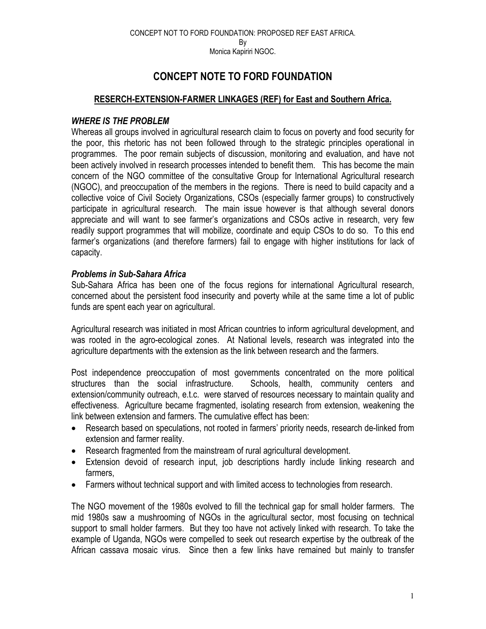## **CONCEPT NOTE TO FORD FOUNDATION**

## **RESERCH-EXTENSION-FARMER LINKAGES (REF) for East and Southern Africa.**

### *WHERE IS THE PROBLEM*

Whereas all groups involved in agricultural research claim to focus on poverty and food security for the poor, this rhetoric has not been followed through to the strategic principles operational in programmes. The poor remain subjects of discussion, monitoring and evaluation, and have not been actively involved in research processes intended to benefit them. This has become the main concern of the NGO committee of the consultative Group for International Agricultural research (NGOC), and preoccupation of the members in the regions. There is need to build capacity and a collective voice of Civil Society Organizations, CSOs (especially farmer groups) to constructively participate in agricultural research. The main issue however is that although several donors appreciate and will want to see farmer's organizations and CSOs active in research, very few readily support programmes that will mobilize, coordinate and equip CSOs to do so. To this end farmer's organizations (and therefore farmers) fail to engage with higher institutions for lack of capacity.

### *Problems in Sub-Sahara Africa*

Sub-Sahara Africa has been one of the focus regions for international Agricultural research, concerned about the persistent food insecurity and poverty while at the same time a lot of public funds are spent each year on agricultural.

Agricultural research was initiated in most African countries to inform agricultural development, and was rooted in the agro-ecological zones. At National levels, research was integrated into the agriculture departments with the extension as the link between research and the farmers.

Post independence preoccupation of most governments concentrated on the more political structures than the social infrastructure. Schools, health, community centers and extension/community outreach, e.t.c. were starved of resources necessary to maintain quality and effectiveness. Agriculture became fragmented, isolating research from extension, weakening the link between extension and farmers. The cumulative effect has been:

- Research based on speculations, not rooted in farmers' priority needs, research de-linked from extension and farmer reality.
- Research fragmented from the mainstream of rural agricultural development.
- Extension devoid of research input, job descriptions hardly include linking research and farmers,
- Farmers without technical support and with limited access to technologies from research.

The NGO movement of the 1980s evolved to fill the technical gap for small holder farmers. The mid 1980s saw a mushrooming of NGOs in the agricultural sector, most focusing on technical support to small holder farmers. But they too have not actively linked with research. To take the example of Uganda, NGOs were compelled to seek out research expertise by the outbreak of the African cassava mosaic virus. Since then a few links have remained but mainly to transfer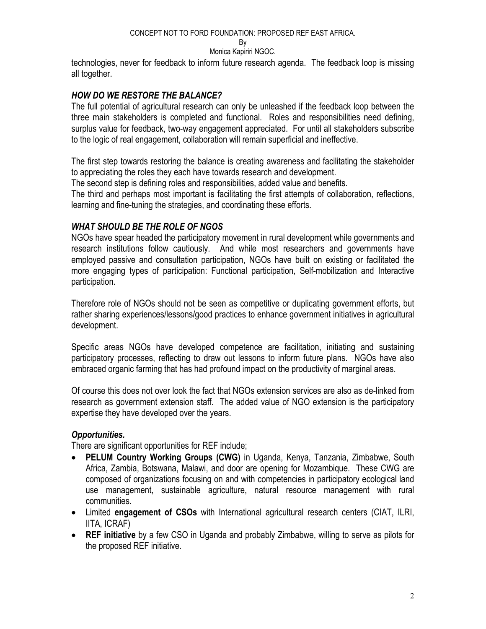#### CONCEPT NOT TO FORD FOUNDATION: PROPOSED REF EAST AFRICA.

#### By

#### Monica Kapiriri NGOC.

technologies, never for feedback to inform future research agenda. The feedback loop is missing all together.

## *HOW DO WE RESTORE THE BALANCE?*

The full potential of agricultural research can only be unleashed if the feedback loop between the three main stakeholders is completed and functional. Roles and responsibilities need defining, surplus value for feedback, two-way engagement appreciated. For until all stakeholders subscribe to the logic of real engagement, collaboration will remain superficial and ineffective.

The first step towards restoring the balance is creating awareness and facilitating the stakeholder to appreciating the roles they each have towards research and development.

The second step is defining roles and responsibilities, added value and benefits.

The third and perhaps most important is facilitating the first attempts of collaboration, reflections, learning and fine-tuning the strategies, and coordinating these efforts.

### *WHAT SHOULD BE THE ROLE OF NGOS*

NGOs have spear headed the participatory movement in rural development while governments and research institutions follow cautiously. And while most researchers and governments have employed passive and consultation participation, NGOs have built on existing or facilitated the more engaging types of participation: Functional participation, Self-mobilization and Interactive participation.

Therefore role of NGOs should not be seen as competitive or duplicating government efforts, but rather sharing experiences/lessons/good practices to enhance government initiatives in agricultural development.

Specific areas NGOs have developed competence are facilitation, initiating and sustaining participatory processes, reflecting to draw out lessons to inform future plans. NGOs have also embraced organic farming that has had profound impact on the productivity of marginal areas.

Of course this does not over look the fact that NGOs extension services are also as de-linked from research as government extension staff. The added value of NGO extension is the participatory expertise they have developed over the years.

## *Opportunities.*

There are significant opportunities for REF include;

- **PELUM Country Working Groups (CWG)** in Uganda, Kenya, Tanzania, Zimbabwe, South Africa, Zambia, Botswana, Malawi, and door are opening for Mozambique. These CWG are composed of organizations focusing on and with competencies in participatory ecological land use management, sustainable agriculture, natural resource management with rural communities.
- Limited **engagement of CSOs** with International agricultural research centers (CIAT, ILRI, IITA, ICRAF)
- **REF initiative** by a few CSO in Uganda and probably Zimbabwe, willing to serve as pilots for the proposed REF initiative.